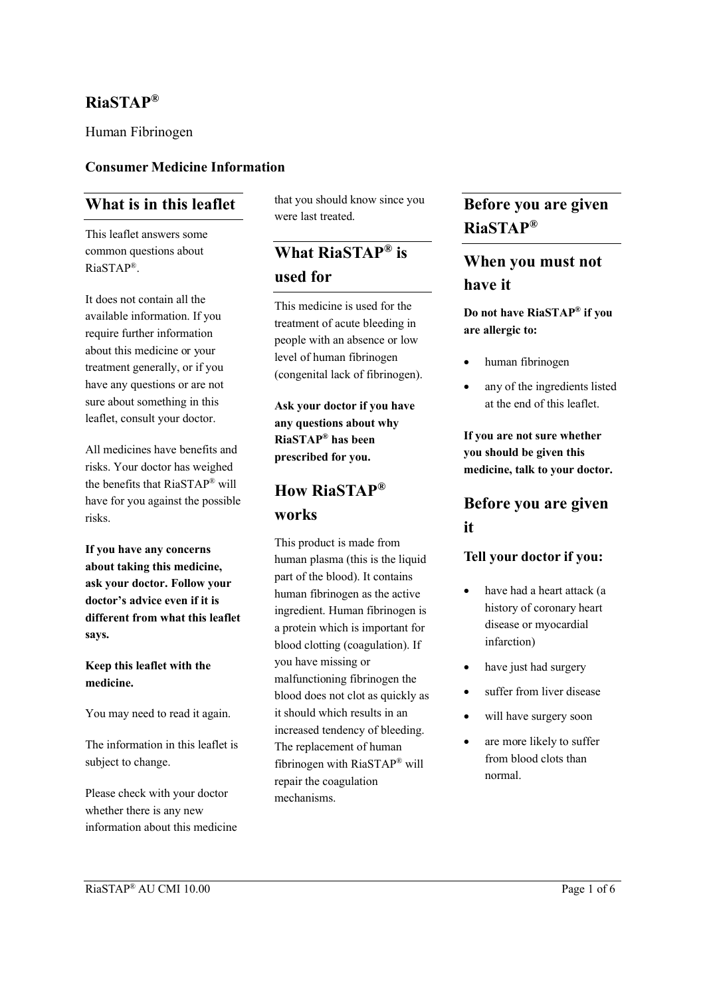### **RiaSTAP®**

Human Fibrinogen

#### **Consumer Medicine Information**

#### **What is in this leaflet**

This leaflet answers some common questions about RiaSTAP®.

It does not contain all the available information. If you require further information about this medicine or your treatment generally, or if you have any questions or are not sure about something in this leaflet, consult your doctor.

All medicines have benefits and risks. Your doctor has weighed the benefits that RiaSTAP® will have for you against the possible risks.

**If you have any concerns about taking this medicine, ask your doctor. Follow your doctor's advice even if it is different from what this leaflet says.**

#### **Keep this leaflet with the medicine.**

You may need to read it again.

The information in this leaflet is subject to change.

Please check with your doctor whether there is any new information about this medicine that you should know since you were last treated

# **What RiaSTAP® is used for**

This medicine is used for the treatment of acute bleeding in people with an absence or low level of human fibrinogen (congenital lack of fibrinogen).

**Ask your doctor if you have any questions about why RiaSTAP® has been prescribed for you.**

## **How RiaSTAP® works**

This product is made from human plasma (this is the liquid part of the blood). It contains human fibrinogen as the active ingredient. Human fibrinogen is a protein which is important for blood clotting (coagulation). If you have missing or malfunctioning fibrinogen the blood does not clot as quickly as it should which results in an increased tendency of bleeding. The replacement of human fibrinogen with RiaSTAP® will repair the coagulation mechanisms.

### **Before you are given RiaSTAP®**

## **When you must not have it**

**Do not have RiaSTAP® if you are allergic to:**

- human fibrinogen
- any of the ingredients listed at the end of this leaflet.

**If you are not sure whether you should be given this medicine, talk to your doctor.**

## **Before you are given it**

#### **Tell your doctor if you:**

- have had a heart attack (a history of coronary heart disease or myocardial infarction)
- have just had surgery
- suffer from liver disease
- will have surgery soon
- are more likely to suffer from blood clots than normal.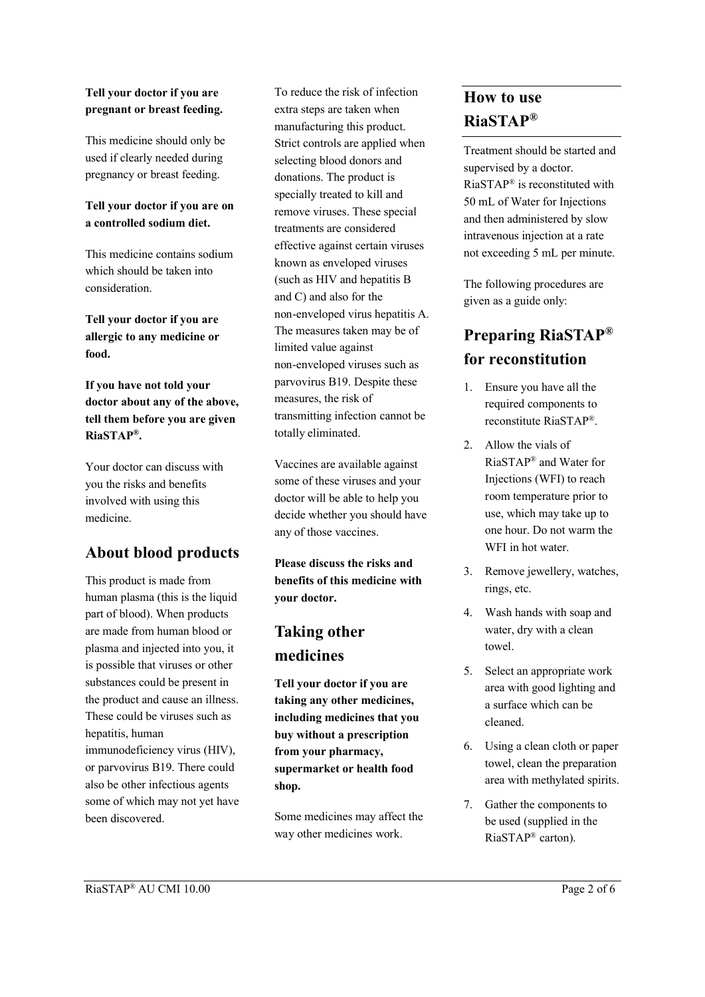#### **Tell your doctor if you are pregnant or breast feeding.**

This medicine should only be used if clearly needed during pregnancy or breast feeding.

#### **Tell your doctor if you are on a controlled sodium diet.**

This medicine contains sodium which should be taken into consideration.

**Tell your doctor if you are allergic to any medicine or food.**

**If you have not told your doctor about any of the above, tell them before you are given RiaSTAP® .**

Your doctor can discuss with you the risks and benefits involved with using this medicine.

## **About blood products**

This product is made from human plasma (this is the liquid part of blood). When products are made from human blood or plasma and injected into you, it is possible that viruses or other substances could be present in the product and cause an illness. These could be viruses such as hepatitis, human immunodeficiency virus (HIV), or parvovirus B19. There could also be other infectious agents some of which may not yet have been discovered.

To reduce the risk of infection extra steps are taken when manufacturing this product. Strict controls are applied when selecting blood donors and donations. The product is specially treated to kill and remove viruses. These special treatments are considered effective against certain viruses known as enveloped viruses (such as HIV and hepatitis B and C) and also for the non-enveloped virus hepatitis A. The measures taken may be of limited value against non-enveloped viruses such as parvovirus B19. Despite these measures, the risk of transmitting infection cannot be totally eliminated.

Vaccines are available against some of these viruses and your doctor will be able to help you decide whether you should have any of those vaccines.

**Please discuss the risks and benefits of this medicine with your doctor.**

# **Taking other medicines**

**Tell your doctor if you are taking any other medicines, including medicines that you buy without a prescription from your pharmacy, supermarket or health food shop.**

Some medicines may affect the way other medicines work.

## **How to use RiaSTAP®**

Treatment should be started and supervised by a doctor. RiaSTAP® is reconstituted with 50 mL of Water for Injections and then administered by slow intravenous injection at a rate not exceeding 5 mL per minute.

The following procedures are given as a guide only:

# **Preparing RiaSTAP® for reconstitution**

- 1. Ensure you have all the required components to reconstitute RiaSTAP®.
- 2. Allow the vials of RiaSTAP® and Water for Injections (WFI) to reach room temperature prior to use, which may take up to one hour. Do not warm the WFI in hot water.
- 3. Remove jewellery, watches, rings, etc.
- 4. Wash hands with soap and water, dry with a clean towel.
- 5. Select an appropriate work area with good lighting and a surface which can be cleaned.
- 6. Using a clean cloth or paper towel, clean the preparation area with methylated spirits.
- 7. Gather the components to be used (supplied in the RiaSTAP® carton).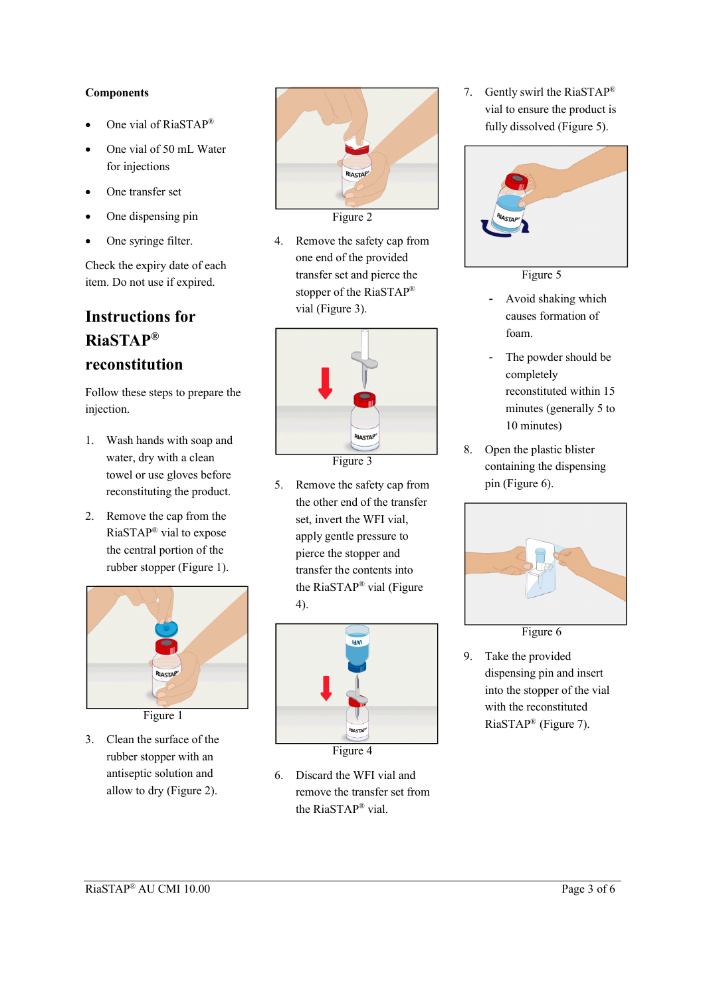#### **Components**

- One vial of RiaSTAP®
- One vial of 50 mL Water for injections
- One transfer set
- One dispensing pin
- One syringe filter.

Check the expiry date of each item. Do not use if expired.

# **Instructions for RiaSTAP® reconstitution**

Follow these steps to prepare the injection.

- 1. Wash hands with soap and water, dry with a clean towel or use gloves before reconstituting the product.
- 2. Remove the cap from the RiaSTAP® vial to expose the central portion of the rubber stopper (Figure 1).



- 
- 3. Clean the surface of the rubber stopper with an antiseptic solution and allow to dry (Figure 2).



4. Remove the safety cap from one end of the provided transfer set and pierce the stopper of the RiaSTAP® vial (Figure 3).



Figure 3

5. Remove the safety cap from the other end of the transfer set, invert the WFI vial, apply gentle pressure to pierce the stopper and transfer the contents into the RiaSTAP® vial (Figure 4).



- 6. Discard the WFI vial and
- remove the transfer set from the RiaSTAP® vial.

7. Gently swirl the RiaSTAP® vial to ensure the product is fully dissolved (Figure 5).



Figure 5

- Avoid shaking which causes formation of foam.
- The powder should be completely reconstituted within 15 minutes (generally 5 to 10 minutes)
- 8. Open the plastic blister containing the dispensing pin (Figure 6).



Figure 6

9. Take the provided dispensing pin and insert into the stopper of the vial with the reconstituted RiaSTAP® (Figure 7).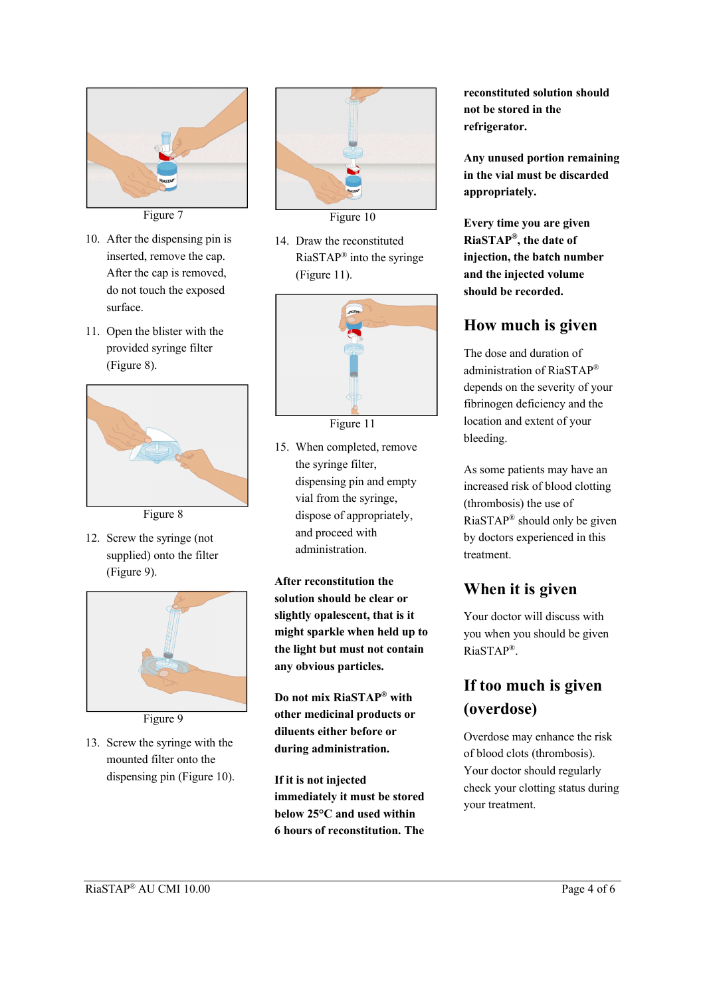

- 10. After the dispensing pin is inserted, remove the cap. After the cap is removed, do not touch the exposed surface.
- 11. Open the blister with the provided syringe filter (Figure 8).



Figure 8

12. Screw the syringe (not supplied) onto the filter (Figure 9).



Figure 9

13. Screw the syringe with the mounted filter onto the dispensing pin (Figure 10).



Figure 10

14. Draw the reconstituted RiaSTAP® into the syringe (Figure 11).



Figure 11

15. When completed, remove the syringe filter, dispensing pin and empty vial from the syringe, dispose of appropriately, and proceed with administration.

**After reconstitution the solution should be clear or slightly opalescent, that is it might sparkle when held up to the light but must not contain any obvious particles.**

**Do not mix RiaSTAP® with other medicinal products or diluents either before or during administration.**

**If it is not injected immediately it must be stored below 25°C and used within 6 hours of reconstitution. The** 

**reconstituted solution should not be stored in the refrigerator.**

**Any unused portion remaining in the vial must be discarded appropriately.**

**Every time you are given RiaSTAP® , the date of injection, the batch number and the injected volume should be recorded.**

# **How much is given**

The dose and duration of administration of RiaSTAP® depends on the severity of your fibrinogen deficiency and the location and extent of your bleeding.

As some patients may have an increased risk of blood clotting (thrombosis) the use of RiaSTAP® should only be given by doctors experienced in this treatment.

# **When it is given**

Your doctor will discuss with you when you should be given RiaSTAP®.

# **If too much is given (overdose)**

Overdose may enhance the risk of blood clots (thrombosis). Your doctor should regularly check your clotting status during your treatment.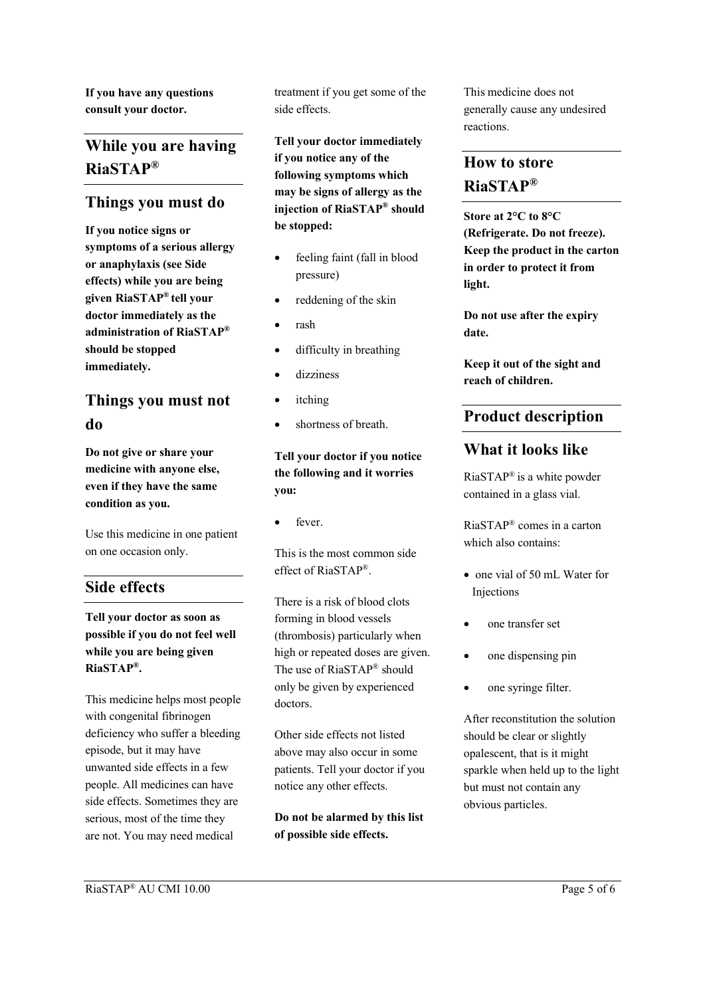**If you have any questions consult your doctor.**

## **While you are having RiaSTAP®**

#### **Things you must do**

**If you notice signs or symptoms of a serious allergy or anaphylaxis (see Side effects) while you are being given RiaSTAP® tell your doctor immediately as the administration of RiaSTAP® should be stopped immediately.**

# **Things you must not do**

**Do not give or share your medicine with anyone else, even if they have the same condition as you.**

Use this medicine in one patient on one occasion only.

#### **Side effects**

**Tell your doctor as soon as possible if you do not feel well while you are being given RiaSTAP® .**

This medicine helps most people with congenital fibrinogen deficiency who suffer a bleeding episode, but it may have unwanted side effects in a few people. All medicines can have side effects. Sometimes they are serious, most of the time they are not. You may need medical

treatment if you get some of the side effects.

**Tell your doctor immediately if you notice any of the following symptoms which may be signs of allergy as the injection of RiaSTAP® should be stopped:**

- feeling faint (fall in blood pressure)
- reddening of the skin
- rash
- difficulty in breathing
- dizziness
- itching
- shortness of breath.

**Tell your doctor if you notice the following and it worries you:**

fever.

This is the most common side effect of RiaSTAP®.

There is a risk of blood clots forming in blood vessels (thrombosis) particularly when high or repeated doses are given. The use of RiaSTAP® should only be given by experienced doctors.

Other side effects not listed above may also occur in some patients. Tell your doctor if you notice any other effects.

**Do not be alarmed by this list of possible side effects.**

This medicine does not generally cause any undesired reactions.

# **How to store RiaSTAP®**

**Store at 2°C to 8°C (Refrigerate. Do not freeze). Keep the product in the carton in order to protect it from light.**

**Do not use after the expiry date.**

**Keep it out of the sight and reach of children.**

### **Product description**

### **What it looks like**

RiaSTAP® is a white powder contained in a glass vial.

RiaSTAP® comes in a carton which also contains:

- one vial of 50 mL Water for **Injections**
- one transfer set
- one dispensing pin
- one syringe filter.

After reconstitution the solution should be clear or slightly opalescent, that is it might sparkle when held up to the light but must not contain any obvious particles.